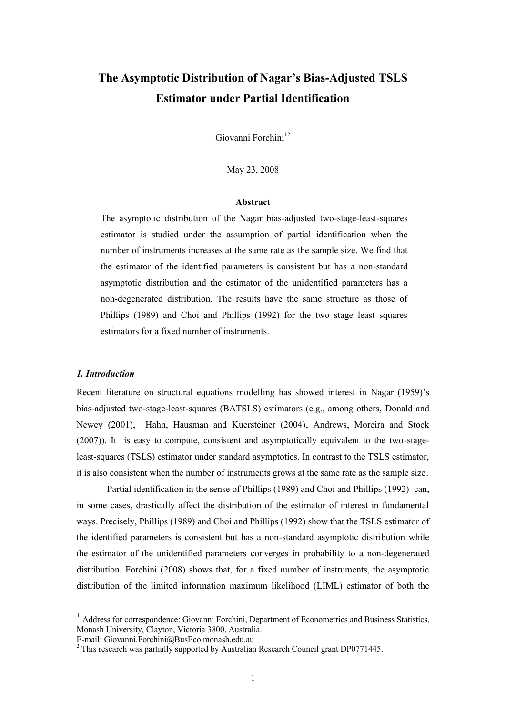# **The Asymptotic Distribution of Nagar's Bias-Adjusted TSLS Estimator under Partial Identification**

Giovanni Forchini<sup>12</sup>

May 23, 2008

#### **Abstract**

The asymptotic distribution of the Nagar bias-adjusted two-stage-least-squares estimator is studied under the assumption of partial identification when the number of instruments increases at the same rate as the sample size. We find that the estimator of the identified parameters is consistent but has a non-standard asymptotic distribution and the estimator of the unidentified parameters has a non-degenerated distribution. The results have the same structure as those of Phillips (1989) and Choi and Phillips (1992) for the two stage least squares estimators for a fixed number of instruments.

### *1. Introduction*

 $\overline{a}$ 

Recent literature on structural equations modelling has showed interest in Nagar (1959)'s bias-adjusted two-stage-least-squares (BATSLS) estimators (e.g., among others, Donald and Newey (2001), Hahn, Hausman and Kuersteiner (2004), Andrews, Moreira and Stock (2007)). It is easy to compute, consistent and asymptotically equivalent to the two-stageleast-squares (TSLS) estimator under standard asymptotics. In contrast to the TSLS estimator, it is also consistent when the number of instruments grows at the same rate as the sample size.

Partial identification in the sense of Phillips (1989) and Choi and Phillips (1992) can, in some cases, drastically affect the distribution of the estimator of interest in fundamental ways. Precisely, Phillips (1989) and Choi and Phillips (1992) show that the TSLS estimator of the identified parameters is consistent but has a non-standard asymptotic distribution while the estimator of the unidentified parameters converges in probability to a non-degenerated distribution. Forchini (2008) shows that, for a fixed number of instruments, the asymptotic distribution of the limited information maximum likelihood (LIML) estimator of both the

E-mail: Giovanni.Forchini@BusEco.monash.edu.au

<sup>&</sup>lt;sup>1</sup> Address for correspondence: Giovanni Forchini, Department of Econometrics and Business Statistics, Monash University, Clayton, Victoria 3800, Australia.

<sup>&</sup>lt;sup>2</sup> This research was partially supported by Australian Research Council grant DP0771445.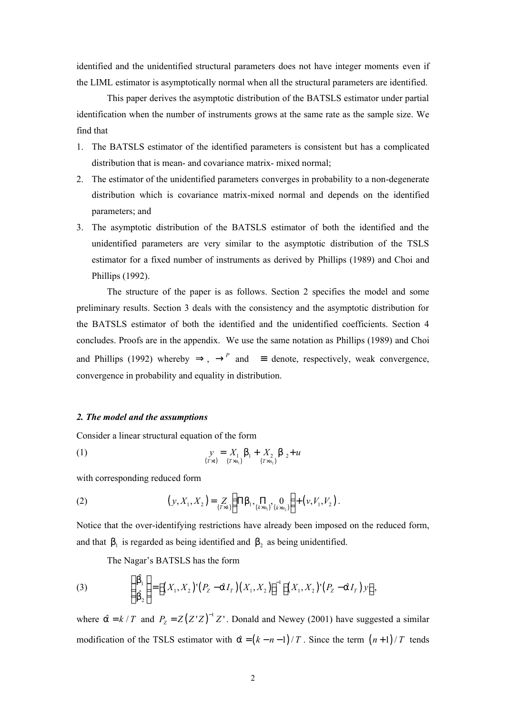identified and the unidentified structural parameters does not have integer moments even if the LIML estimator is asymptotically normal when all the structural parameters are identified.

This paper derives the asymptotic distribution of the BATSLS estimator under partial identification when the number of instruments grows at the same rate as the sample size. We find that

- 1. The BATSLS estimator of the identified parameters is consistent but has a complicated distribution that is mean- and covariance matrix- mixed normal;
- 2. The estimator of the unidentified parameters converges in probability to a non-degenerate distribution which is covariance matrix-mixed normal and depends on the identified parameters; and
- 3. The asymptotic distribution of the BATSLS estimator of both the identified and the unidentified parameters are very similar to the asymptotic distribution of the TSLS estimator for a fixed number of instruments as derived by Phillips (1989) and Choi and Phillips (1992).

The structure of the paper is as follows. Section 2 specifies the model and some preliminary results. Section 3 deals with the consistency and the asymptotic distribution for the BATSLS estimator of both the identified and the unidentified coefficients. Section 4 concludes. Proofs are in the appendix. We use the same notation as Phillips (1989) and Choi and Phillips (1992) whereby  $\Rightarrow$ ,  $\rightarrow$ <sup>*P*</sup> and  $\equiv$  denote, respectively, weak convergence, convergence in probability and equality in distribution.

### *2. The model and the assumptions*

Consider a linear structural equation of the form

(1) 
$$
y = X_1 b_1 + X_2 b_2 + u
$$

$$
\lim_{(TxI_1)} (Tx_{n_1}) + X_{n_2} b_2 + u
$$

with corresponding reduced form

(2) 
$$
(y, X_1, X_2) = Z\limits_{(T \times k)} \Big( \Pi b_1, \Pi b_2, \Pi b_3, \emptyset \Big) + (v, V_1, V_2).
$$

Notice that the over-identifying restrictions have already been imposed on the reduced form, and that  $b_1$  is regarded as being identified and  $b_2$  as being unidentified.

The Nagar's BATSLS has the form

(3) 
$$
\begin{pmatrix} \hat{b_1} \\ \hat{b_2} \end{pmatrix} = \left[ (X_1, X_2)'(P_Z - \hat{a}I_T)(X_1, X_2) \right]^{-1} \left[ (X_1, X_2)'(P_Z - \hat{a}I_T)y \right],
$$

where  $\hat{a} = k / T$  and  $P_z = Z(Z'Z)^{-1}Z'$ . Donald and Newey (2001) have suggested a similar modification of the TSLS estimator with  $\hat{a} = (k - n - 1)/T$ . Since the term  $(n+1)/T$  tends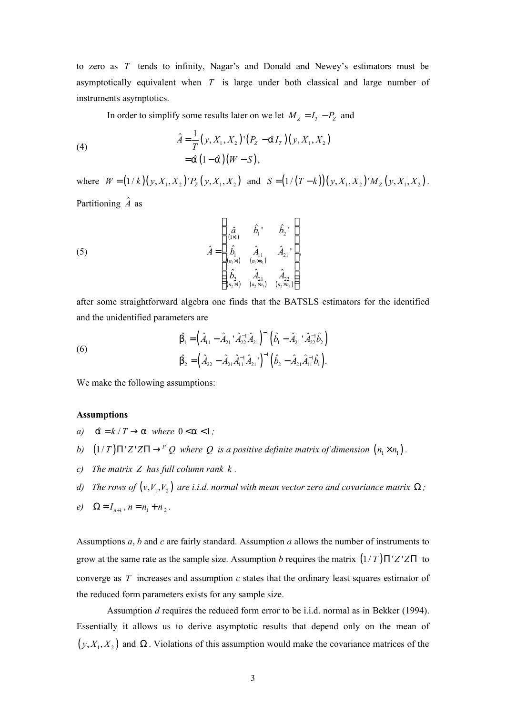to zero as *T* tends to infinity, Nagar's and Donald and Newey's estimators must be asymptotically equivalent when *T* is large under both classical and large number of instruments asymptotics.

In order to simplify some results later on we let  $M_Z = I_T - P_Z$  and

(4)  
\n
$$
\hat{A} = \frac{1}{T} (y, X_1, X_2) (P_Z - \hat{a} I_T) (y, X_1, X_2)
$$
\n
$$
= \hat{a} (1 - \hat{a}) (W - S),
$$

where  $W = (1/k)(y, X_1, X_2)'P_Z(y, X_1, X_2)$  and  $S = (1/(T-k))(y, X_1, X_2)'M_Z(y, X_1, X_2)$ . Partitioning  $\hat{A}$  as

(5) 
$$
\hat{A} = \begin{bmatrix} \hat{a} & \hat{b}_1 & \hat{b}_2 \\ \hat{b}_1 & \hat{A}_{11} & \hat{A}_{21} \\ \hat{b}_1 & \hat{A}_{11} & \hat{A}_{21} \\ \frac{\hat{b}_2}{n_1 \times 1} & \frac{\hat{b}_2}{n_2 \times n_1} & \frac{\hat{b}_2}{n_1 \times n_2} \end{bmatrix},
$$

after some straightforward algebra one finds that the BATSLS estimators for the identified and the unidentified parameters are

(6)  
\n
$$
\hat{b_1} = \left(\hat{A}_{11} - \hat{A}_{21} \cdot \hat{A}_{22}^{-1} \hat{A}_{21}\right)^{-1} \left(\hat{b_1} - \hat{A}_{21} \cdot \hat{A}_{22}^{-1} \hat{b}_2\right)
$$
\n
$$
\hat{b_2} = \left(\hat{A}_{22} - \hat{A}_{21} \hat{A}_{11}^{-1} \hat{A}_{21}\right)^{-1} \left(\hat{b_2} - \hat{A}_{21} \hat{A}_{11}^{-1} \hat{b}_1\right).
$$

We make the following assumptions:

#### **Assumptions**

- *a*)  $\hat{a} = k / T \rightarrow a$  where  $0 < a < 1$ ;
- *b*)  $(1/T)\Pi'Z'Z\Pi \rightarrow^P Q$  where Q is a positive definite matrix of dimension  $(n_1 \times n_1)$ .
- *c) The matrix Z has full column rank k .*
- *d*) The rows of  $(v, V_1, V_2)$  are i.i.d. normal with mean vector zero and covariance matrix  $\Omega$  ;

e) 
$$
\Omega = I_{n+1}, n = n_1 + n_2.
$$

Assumptions *a*, *b* and *c* are fairly standard. Assumption *a* allows the number of instruments to grow at the same rate as the sample size. Assumption *b* requires the matrix (1/ *T* )Π'*Z* '*Z*Π to converge as *T* increases and assumption *c* states that the ordinary least squares estimator of the reduced form parameters exists for any sample size.

Assumption *d* requires the reduced form error to be i.i.d. normal as in Bekker (1994). Essentially it allows us to derive asymptotic results that depend only on the mean of  $(y, X_1, X_2)$  and  $\Omega$ . Violations of this assumption would make the covariance matrices of the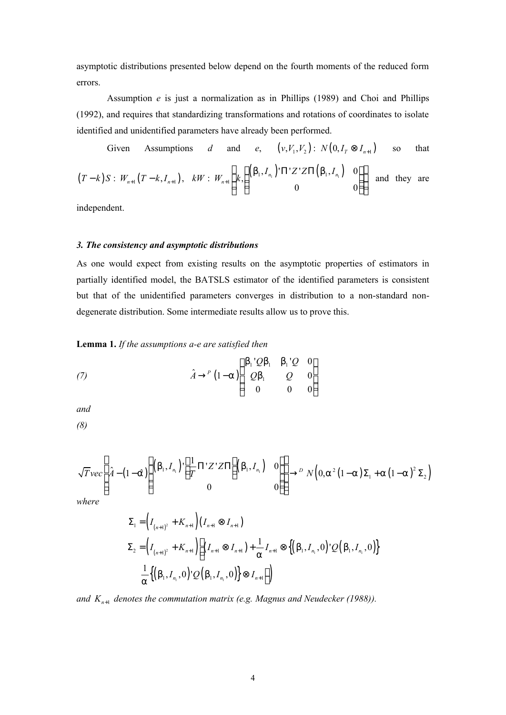asymptotic distributions presented below depend on the fourth moments of the reduced form errors.

Assumption *e* is just a normalization as in Phillips (1989) and Choi and Phillips (1992), and requires that standardizing transformations and rotations of coordinates to isolate identified and unidentified parameters have already been performed.

Given Assumptions *d* and  $(V_2)$ :  $N(0, I_T \otimes I_{n+1})$  so that  $(T-k)S: W_{n+1}(T-k, I_{n+1}), \quad kW: W_{n+1} \left(k, \left( \frac{(b_1, I_{n_1})}{T} \right)^{T} \right) \right]$ 1  $, I_n$   $\left| \Pi' Z' Z \Pi(b_1, I_n) \right|$  0 , 0 0 *n n n*  $I_n$ <sup>*J*</sup> $\Pi$ 'Z'Z $\Pi$ (b<sub>1</sub>, *I*  $kW$  :  $W_{n+1}$   $k$  $b_1, I_n$  )' $\Pi$ '*Z*'*Z* $\Pi$ (b +  $\left( \int_{I} \left( \left( \mathsf{b}_{1}, I_{n} \right) \cap \Pi^{1} Z^{1} Z \Pi \left( \mathsf{b}_{1}, I_{n} \right) \right) \right)$  $\begin{pmatrix} k_1^{(1)}, k_1^{(2)}, k_2^{(3)}, k_3^{(4)} \\ 0 & 0 \end{pmatrix}$ :  $W_{n+1}$   $\left| k \right|$   $\left| \right|^{n+1}$ ,  $\left| k \right|^{n+1}$  and they are

independent.

#### *3. The consistency and asymptotic distributions*

As one would expect from existing results on the asymptotic properties of estimators in partially identified model, the BATSLS estimator of the identified parameters is consistent but that of the unidentified parameters converges in distribution to a non-standard nondegenerate distribution. Some intermediate results allow us to prove this.

**Lemma 1.** *If the assumptions a-e are satisfied then*

(7) 
$$
\hat{A} \rightarrow^P (1-a) \begin{pmatrix} b_1'Qb_1 & b_1'Q & 0 \\ Qb_1 & Q & 0 \\ 0 & 0 & 0 \end{pmatrix}
$$

*and*

*(8)*

$$
\sqrt{T}vec\left[\hat{A}-(1-\hat{a})\left(\begin{pmatrix}b_1,I_{n_1}\end{pmatrix}\cdot\left[\frac{1}{T}\Pi'Z'Z\Pi\right](b_1,I_{n_1})&0\\0&0\end{pmatrix}\right]\rightarrow D N(0,a^2(1-a)\Sigma_1+a(1-a)^2\Sigma_2)
$$

*where*

$$
\Sigma_{1} = \left(I_{(n+1)^{2}} + K_{n+1}\right)\left(I_{n+1} \otimes I_{n+1}\right)
$$
\n
$$
\Sigma_{2} = \left(I_{(n+1)^{2}} + K_{n+1}\right)\left[\left(I_{n+1} \otimes I_{n+1}\right) + \frac{1}{a}I_{n+1} \otimes \left\{\left(b_{1}, I_{n_{1}}, 0\right)^{i} \mathcal{Q}\left(b_{1}, I_{n_{1}}, 0\right)\right\}
$$
\n
$$
\frac{1}{a}\left\{\left(b_{1}, I_{n_{1}}, 0\right)^{i} \mathcal{Q}\left(b_{1}, I_{n_{1}}, 0\right)\right\} \otimes I_{n+1}\right]\right\}
$$

*and Kn*+<sup>1</sup>  *denotes the commutation matrix (e.g. Magnus and Neudecker (1988)).*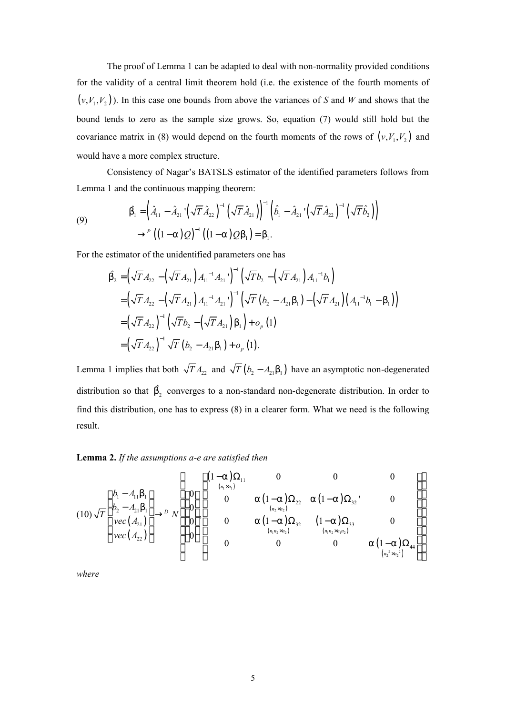The proof of Lemma 1 can be adapted to deal with non-normality provided conditions for the validity of a central limit theorem hold (i.e. the existence of the fourth moments of  $(v, V_1, V_2)$ ). In this case one bounds from above the variances of *S* and *W* and shows that the bound tends to zero as the sample size grows. So, equation (7) would still hold but the covariance matrix in (8) would depend on the fourth moments of the rows of  $(v, V_1, V_2)$  and would have a more complex structure.

Consistency of Nagar's BATSLS estimator of the identified parameters follows from Lemma 1 and the continuous mapping theorem:

(9) 
$$
\hat{b}_1 = \left(\hat{A}_{11} - \hat{A}_{21} \left(\sqrt{T} \hat{A}_{22}\right)^{-1} \left(\sqrt{T} \hat{A}_{21}\right)\right)^{-1} \left(\hat{b}_1 - \hat{A}_{21} \left(\sqrt{T} \hat{A}_{22}\right)^{-1} \left(\sqrt{T} \hat{b}_2\right)\right) \\ \rightarrow^P \left((1-a)Q\right)^{-1} \left((1-a)Qb_1\right) = b_1.
$$

For the estimator of the unidentified parameters one has

$$
\hat{b}_{2} = \left(\sqrt{T} A_{22} - \left(\sqrt{T} A_{21}\right) A_{11}^{-1} A_{21} \right)^{-1} \left(\sqrt{T} b_{2} - \left(\sqrt{T} A_{21}\right) A_{11}^{-1} b_{1}\right)
$$
\n
$$
= \left(\sqrt{T} A_{22} - \left(\sqrt{T} A_{21}\right) A_{11}^{-1} A_{21} \right)^{-1} \left(\sqrt{T} \left(b_{2} - A_{21} b_{1}\right) - \left(\sqrt{T} A_{21}\right) \left(A_{11}^{-1} b_{1} - b_{1}\right)\right)
$$
\n
$$
= \left(\sqrt{T} A_{22}\right)^{-1} \left(\sqrt{T} b_{2} - \left(\sqrt{T} A_{21}\right) b_{1}\right) + o_{p}(1)
$$
\n
$$
= \left(\sqrt{T} A_{22}\right)^{-1} \sqrt{T} \left(b_{2} - A_{21} b_{1}\right) + o_{p}(1).
$$

Lemma 1 implies that both  $\sqrt{T} A_{22}$  and  $\sqrt{T} (b_2 - A_{21} b_1)$  have an asymptotic non-degenerated distribution so that  $\hat{b}_2$  converges to a non-standard non-degenerate distribution. In order to find this distribution, one has to express (8) in a clearer form. What we need is the following result.

### **Lemma 2.** *If the assumptions a-e are satisfied then*

$$
(10)\sqrt{T}\begin{pmatrix}b_{1}-A_{11}b_{1}\\b_{2}-A_{21}b_{1}\\vec{A}_{21}\end{pmatrix} \rightarrow^{D} N \begin{pmatrix}0\\0\\0\\0\\0\end{pmatrix}, \begin{pmatrix}(1-a)\Omega_{11} & 0 & 0 & 0\\0 & a(1-a)\Omega_{22} & a(1-a)\Omega_{32}\\0 & 0 & a(1-a)\Omega_{32} & (1-a)\Omega_{33}\\0 & 0 & 0 & (n_{1}n_{2} \times n_{1}) & (n_{1}n_{2} \times n_{1}n_{2})\\0 & 0 & 0 & 0 & a(1-a)\Omega_{44}\\0 & 0 & 0 & 0 & a(n_{2}^{2} \times n_{2}^{2})\end{pmatrix}
$$

*where*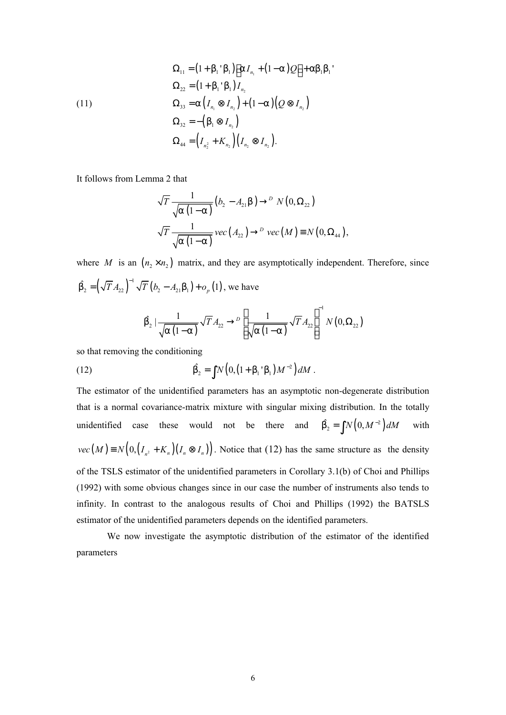(11)  
\n
$$
\Omega_{11} = (1 + b_1 \, b_1) \Big[ a I_{n_1} + (1 - a) Q \Big] + ab_1 b_1
$$
\n
$$
\Omega_{22} = (1 + b_1 \, b_1) I_{n_2}
$$
\n
$$
\Omega_{33} = a \Big( I_{n_1} \otimes I_{n_2} \Big) + (1 - a) \Big( Q \otimes I_{n_2} \Big)
$$
\n
$$
\Omega_{32} = - \Big( b_1 \otimes I_{n_2} \Big)
$$
\n
$$
\Omega_{44} = \Big( I_{n_2^2} + K_{n_2} \Big) \Big( I_{n_2} \otimes I_{n_2} \Big).
$$

It follows from Lemma 2 that

$$
\sqrt{T} \frac{1}{\sqrt{a (1-a)}} (b_2 - A_{21}b) \rightarrow^D N(0, \Omega_{22})
$$
  

$$
\sqrt{T} \frac{1}{\sqrt{a (1-a)}} vec(A_{22}) \rightarrow^D vec(M) \equiv N(0, \Omega_{44}),
$$

where *M* is an  $(n_2 \times n_2)$  matrix, and they are asymptotically independent. Therefore, since  $(\sqrt{T} A_{22})^{-1} \sqrt{T} (b_2 - A_{21} b_1) + o_p(1)$  $\hat{b}_2 = (\sqrt{T} A_{22})^{-1} \sqrt{T} (b_2 - A_{21} b_1) + o_p(1)$ , we have

$$
\hat{b}_2 \left| \frac{1}{\sqrt{a(1-a)}} \sqrt{T} A_{22} \rightarrow^D \left[ \frac{1}{\sqrt{a(1-a)}} \sqrt{T} A_{22} \right]^{-1} N(0, \Omega_{22})
$$

so that removing the conditioning

(12) 
$$
\hat{b}_2 = \int N \left( 0, \left( 1 + b_1 \, b_1 \right) M^{-2} \right) dM.
$$

The estimator of the unidentified parameters has an asymptotic non-degenerate distribution that is a normal covariance-matrix mixture with singular mixing distribution. In the totally unidentified case these would not be there and  $\hat{b}_2 = \int N(0, M^{-2}) dM$  with  $vec(M) \equiv N(0, (I_{n^2} + K_n)(I_n \otimes I_n))$ . Notice that (12) has the same structure as the density of the TSLS estimator of the unidentified parameters in Corollary 3.1(b) of Choi and Phillips (1992) with some obvious changes since in our case the number of instruments also tends to infinity. In contrast to the analogous results of Choi and Phillips (1992) the BATSLS estimator of the unidentified parameters depends on the identified parameters.

We now investigate the asymptotic distribution of the estimator of the identified parameters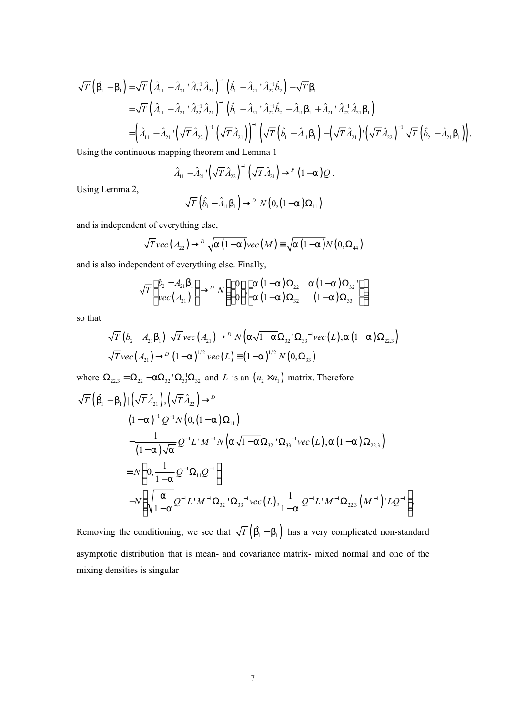$$
\sqrt{T}\left(\hat{b}_{1} - b_{1}\right) = \sqrt{T}\left(\hat{A}_{11} - \hat{A}_{21} \cdot \hat{A}_{22}^{-1} \hat{A}_{21}\right)^{-1}\left(\hat{b}_{1} - \hat{A}_{21} \cdot \hat{A}_{22}^{-1} \hat{b}_{2}\right) - \sqrt{T} b_{1}
$$
\n
$$
= \sqrt{T}\left(\hat{A}_{11} - \hat{A}_{21} \cdot \hat{A}_{22}^{-1} \hat{A}_{21}\right)^{-1}\left(\hat{b}_{1} - \hat{A}_{21} \cdot \hat{A}_{22}^{-1} \hat{b}_{2} - \hat{A}_{11} b_{1} + \hat{A}_{21} \cdot \hat{A}_{22}^{-1} \hat{A}_{21} b_{1}\right)
$$
\n
$$
= \left(\hat{A}_{11} - \hat{A}_{21} \cdot \left(\sqrt{T} \hat{A}_{22}\right)^{-1}\left(\sqrt{T} \hat{A}_{21}\right)\right)^{-1}\left(\sqrt{T}\left(\hat{b}_{1} - \hat{A}_{11} b_{1}\right) - \left(\sqrt{T} \hat{A}_{21}\right) \cdot \left(\sqrt{T} \hat{A}_{22}\right)^{-1}\sqrt{T}\left(\hat{b}_{2} - \hat{A}_{21} b_{1}\right)\right).
$$
\n1.1. (a)  $A_{11} = A_{11} \cdot \left(A_{11} - A_{11} \cdot \left(\sqrt{T} \hat{A}_{21}\right)\right)^{-1}\left(A_{11} - A_{11} \cdot \left(\sqrt{T} \hat{A}_{21}\right)\right)^{-1}\left(A_{11} - A_{11} \cdot \left(\sqrt{T} \hat{A}_{21}\right)\right).$ 

Using the continuous mapping theorem and Lemma 1

$$
\hat{A}_{11} - \hat{A}_{21} \left(\sqrt{T} \hat{A}_{22}\right)^{-1} \left(\sqrt{T} \hat{A}_{21}\right) \rightarrow^P (1-\alpha)Q.
$$

Using Lemma 2,

$$
\sqrt{T}\left(\hat{b}_1-\hat{A}_{11}b_1\right)\rightarrow^D N\left(0,\left(1-a\right)\Omega_{11}\right)
$$

and is independent of everything else,

$$
\sqrt{T}vec(A_{22}) \rightarrow^{D} \sqrt{a(1-a)}vec(M) \equiv \sqrt{a(1-a)}N(0,\Omega_{44})
$$

and is also independent of everything else. Finally,

$$
\sqrt{T}\begin{pmatrix}b_2-A_{21}b_1\\vec(A_{21})\end{pmatrix}\to^D N\begin{pmatrix}0\\0\end{pmatrix}\begin{pmatrix}a(1-a)\Omega_{22}&a(1-a)\Omega_{32}\\a(1-a)\Omega_{32}&(1-a)\Omega_{33}\end{pmatrix}
$$

so that

$$
\sqrt{T}(b_2 - A_{21}b_1)|\sqrt{T}vec(A_{21}) \to^D N(a\sqrt{1-a}\Omega_{32} \Omega_{33}^{-1}vec(L), a(1-a)\Omega_{22.3})
$$
  

$$
\sqrt{T}vec(A_{21}) \to^D (1-a)^{1/2}vec(L) \equiv (1-a)^{1/2}N(0,\Omega_{33})
$$

where  $\Omega_{22,3} = \Omega_{22} - a\Omega_{32} \Omega_{33} - a\Omega_{32}$  and *L* is an  $(n_2 \times n_1)$  matrix. Therefore

$$
\sqrt{T}\left(\hat{b}_{1}-b_{1}\right)|\left(\sqrt{T}\hat{A}_{21}\right),\left(\sqrt{T}\hat{A}_{22}\right)\to^{D}
$$
\n
$$
(1-a)^{-1}Q^{-1}N\left(0,(1-a)\Omega_{11}\right)
$$
\n
$$
-\frac{1}{(1-a)\sqrt{a}}Q^{-1}L'M^{-1}N\left(a\sqrt{1-a}\Omega_{32}\Omega_{33}\right) \cdot vec(L),a(1-a)\Omega_{22.3}\right)
$$
\n
$$
\equiv N\left(0,\frac{1}{1-a}Q^{-1}\Omega_{11}Q^{-1}\right)
$$
\n
$$
-N\left(\sqrt{\frac{a}{1-a}}Q^{-1}L'M^{-1}\Omega_{32}\Omega_{33}\Omega_{33}\right) \cdot vec(L),\frac{1}{1-a}Q^{-1}L'M^{-1}\Omega_{22.3}\left(M^{-1}\right)'LQ^{-1}\right).
$$

Removing the conditioning, we see that  $\sqrt{T} (\hat{b_1} - b_1)$  has a very complicated non-standard asymptotic distribution that is mean- and covariance matrix- mixed normal and one of the mixing densities is singular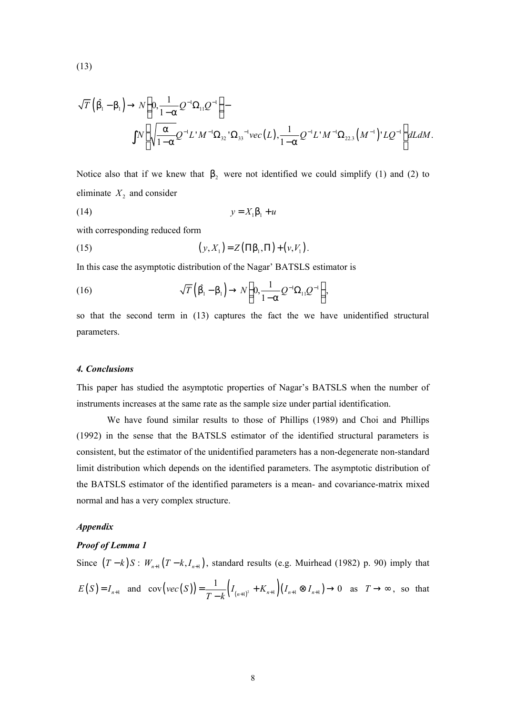$$
(13)
$$

$$
\sqrt{T}\left(\hat{b}_{1}-b_{1}\right) \to N\left(0, \frac{1}{1-a}Q^{-1}\Omega_{11}Q^{-1}\right) - \int N\left(\sqrt{\frac{a}{1-a}}Q^{-1}L'M^{-1}\Omega_{32}^{1}\Omega_{33}^{-1}vec(L), \frac{1}{1-a}Q^{-1}L'M^{-1}\Omega_{22.3}\left(M^{-1}\right)^\dagger LQ^{-1}\right)dLdM.
$$

Notice also that if we knew that  $b_2$  were not identified we could simplify (1) and (2) to eliminate  $X_2$  and consider

$$
(14) \t\t y = X_1 b_1 + u
$$

with corresponding reduced form

(15) 
$$
(y, X_1) = Z(\Pi b_1, \Pi) + (v, V_1).
$$

In this case the asymptotic distribution of the Nagar' BATSLS estimator is

(16) 
$$
\sqrt{T}(\hat{b_1} - b_1) \rightarrow N\left(0, \frac{1}{1-a}Q^{-1}\Omega_{11}Q^{-1}\right),
$$

so that the second term in (13) captures the fact the we have unidentified structural parameters.

#### *4. Conclusions*

This paper has studied the asymptotic properties of Nagar's BATSLS when the number of instruments increases at the same rate as the sample size under partial identification.

We have found similar results to those of Phillips (1989) and Choi and Phillips (1992) in the sense that the BATSLS estimator of the identified structural parameters is consistent, but the estimator of the unidentified parameters has a non-degenerate non-standard limit distribution which depends on the identified parameters. The asymptotic distribution of the BATSLS estimator of the identified parameters is a mean- and covariance-matrix mixed normal and has a very complex structure.

## *Appendix*

### *Proof of Lemma 1*

Since  $(T-k)S: W_{n+1}(T-k, I_{n+1})$ , standard results (e.g. Muirhead (1982) p. 90) imply that  $E(S) = I_{n+1}$  and  $cov( vec(S)) = \frac{1}{T-k} \Big( I_{(n+1)^2} + K_{n+1} \Big) \Big( I_{n+1} \otimes I_{n+1} \Big)$  $\text{cov}(\text{vec}(S)) = \frac{1}{T-k} \Big( I_{(n+1)^2} + K_{n+1} \Big) \Big( I_{n+1} \otimes I_{n+1} \Big) \to 0$  $=\frac{1}{T-k}\Big(I_{(n+1)^2}+K_{n+1}\Big)\Big(I_{n+1}\otimes I_{n+1}\Big)\rightarrow$ − as  $T \rightarrow \infty$ , so that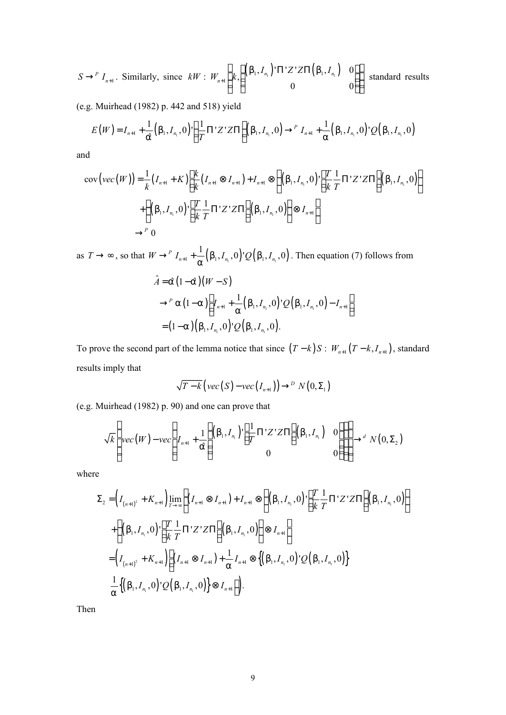$$
S \to^P I_{n+1}.
$$
 Similarly, since  $kW : W_{n+1} \left( k, \begin{pmatrix} (b_1, I_{n_1})' \Pi' Z' Z \Pi(b_1, I_{n_1}) & 0 \\ 0 & 0 \end{pmatrix} \right)$  standard results

(e.g. Muirhead (1982) p. 442 and 518) yield

$$
E(W) = I_{n+1} + \frac{1}{\hat{a}} (b_1, I_{n_1}, 0) \cdot \left( \frac{1}{T} \Pi' Z' Z \Pi \right) (b_1, I_{n_1}, 0) \rightarrow^{P} I_{n+1} + \frac{1}{\hat{a}} (b_1, I_{n_1}, 0) \cdot Q(b_1, I_{n_1}, 0)
$$

and

$$
cov\left( vec(W) \right) = \frac{1}{k} (I_{n+1} + K) \left[ \frac{k}{k} (I_{n+1} \otimes I_{n+1}) + I_{n+1} \otimes \left\{ (b_1, I_{n_1}, 0) \right\} \left[ \frac{T}{k} \frac{1}{T} \Pi' Z' Z \Pi \right] (b_1, I_{n_1}, 0) \right\} + \left\{ (b_1, I_{n_1}, 0) \left[ \frac{T}{k} \frac{1}{T} \Pi' Z' Z \Pi \right] (b_1, I_{n_1}, 0) \right\} \otimes I_{n+1} \right] \rightarrow^{P} 0
$$

as  $T \to \infty$ , so that  $W \to^P I_{n+1} + \frac{1}{2} (b_1, I_{n_1}, 0) Q(b_1, I_{n_1}, 0)$  $W \rightarrow^{P} I_{n+1} + \frac{1}{2} (b_1, I_{n_1}, 0) Q(b_1, I_{n_1}, 0)$  $\rightarrow$ <sup>*P*</sup>  $I_{n+1}$  +  $\frac{1}{a}$  (b<sub>1</sub>,  $I_{n_1}$ , 0)'  $Q(b_1, I_{n_1}, 0)$ . Then equation (7) follows from

$$
\hat{A} = \hat{a} (1-\hat{a}) (W - S)
$$
  
\n
$$
\rightarrow^P a (1-a) \left[ I_{n+1} + \frac{1}{a} (b_1, I_{n_1}, 0)^{\dagger} Q(b_1, I_{n_1}, 0) - I_{n+1} \right]
$$
  
\n
$$
= (1-a) (b_1, I_{n_1}, 0)^{\dagger} Q(b_1, I_{n_1}, 0).
$$

To prove the second part of the lemma notice that since  $(T - k)S : W_{n+1}(T - k, I_{n+1})$ , standard results imply that

$$
\sqrt{T-k}\left(\text{vec}(S)-\text{vec}\left(I_{n+1}\right)\right)\rightarrow^{D} N\left(0,\Sigma_{1}\right)
$$

(e.g. Muirhead (1982) p. 90) and one can prove that

$$
\sqrt{k}\left(\text{vec}(W)-\text{vec}\left(I_{n+1}+\frac{1}{\hat{a}}\left(\begin{pmatrix}b_1,I_{n_1}\end{pmatrix}\left[\frac{1}{T}\Pi'Z'Z\Pi\right](b_1,I_{n_1})&0\\0&0\end{pmatrix}\right)\right)\rightarrow^d N(0,\Sigma_2)
$$

where

$$
\Sigma_{2} = \left(I_{(n+1)^{2}} + K_{n+1}\right) \lim_{T \to \infty} \left[\left(I_{n+1} \otimes I_{n+1}\right) + I_{n+1} \otimes \left\{\left(b_{1}, I_{n_{1}}, 0\right) \cdot \left[\frac{T}{k} \frac{1}{T} \Pi' Z' Z \Pi\right](b_{1}, I_{n_{1}}, 0)\right\}\right] \n+ \left\{\left(b_{1}, I_{n_{1}}, 0\right) \cdot \left[\frac{T}{k} \frac{1}{T} \Pi' Z' Z \Pi\right](b_{1}, I_{n_{1}}, 0)\right\} \otimes I_{n+1} \right] \n= \left(I_{(n+1)^{2}} + K_{n+1}\right) \left[\left(I_{n+1} \otimes I_{n+1}\right) + \frac{1}{\alpha} I_{n+1} \otimes \left\{\left(b_{1}, I_{n_{1}}, 0\right) \cdot Q\left(b_{1}, I_{n_{1}}, 0\right)\right\} \right] \n+ \frac{1}{\alpha} \left\{\left(b_{1}, I_{n_{1}}, 0\right) \cdot Q\left(b_{1}, I_{n_{1}}, 0\right)\right\} \otimes I_{n+1} \right].
$$

Then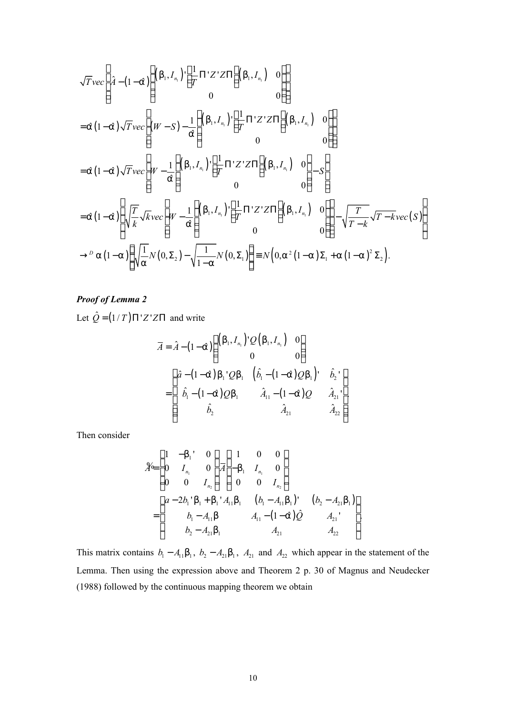$$
\sqrt{T}vec\left[\hat{A}-(1-\hat{a})\left((b_1,I_{n_1})^{\dagger}\left[\frac{1}{T}\Pi'Z'Z\Pi\right](b_1,I_{n_1})\right]0\right]
$$
\n
$$
=\hat{a}(1-\hat{a})\sqrt{T}vec\left[(W-S)-\frac{1}{\hat{a}}\left((b_1,I_{n_1})^{\dagger}\left[\frac{1}{T}\Pi'Z'Z\Pi\right](b_1,I_{n_1})\right]0\right]
$$
\n
$$
=\hat{a}(1-\hat{a})\sqrt{T}vec\left[W-\frac{1}{\hat{a}}\left((b_1,I_{n_1})^{\dagger}\left[\frac{1}{T}\Pi'Z'Z\Pi\right](b_1,I_{n_1})\right]0\right)-S
$$
\n
$$
=\hat{a}(1-\hat{a})\left\{\sqrt{\frac{T}{k}}\sqrt{k}vec\left[W-\frac{1}{\hat{a}}\left((b_1,I_{n_1})^{\dagger}\left[\frac{1}{T}\Pi'Z'Z\Pi\right](b_1,I_{n_1})\right]0\right]-S
$$
\n
$$
\Rightarrow^D a(1-a)\left\{\sqrt{\frac{1}{k}}N(0,\Sigma_2)-\sqrt{\frac{1}{1-a}}N(0,\Sigma_1)\right\} \equiv N(0,a^2(1-a)\Sigma_1+a(1-a)^2\Sigma_2).
$$

# *Proof of Lemma 2*

Let  $\hat{Q} = (1/T)\Pi'Z'Z\Pi$  and write

$$
\overline{A} = \hat{A} - (1 - \hat{a}) \begin{pmatrix} (b_1, I_{n_1})' Q(b_1, I_{n_1}) & 0 \\ 0 & 0 \end{pmatrix}
$$

$$
= \begin{pmatrix} \hat{a} - (1 - \hat{a}) b_1' Q b_1 & (\hat{b}_1 - (1 - \hat{a}) Q b_1)' & \hat{b}_2' \\ \hat{b}_1 - (1 - \hat{a}) Q b_1 & \hat{A}_{11} - (1 - \hat{a}) Q & \hat{A}_{21}' \\ \hat{b}_2 & \hat{A}_{21} & \hat{A}_{22} \end{pmatrix}
$$

Then consider

$$
\mathcal{H} = \begin{pmatrix} 1 & -b_1 & 0 \\ 0 & I_{n_1} & 0 \\ 0 & 0 & I_{n_2} \end{pmatrix} \overline{A} \begin{pmatrix} 1 & 0 & 0 \\ -b_1 & I_{n_1} & 0 \\ 0 & 0 & I_{n_2} \end{pmatrix}
$$

$$
= \begin{pmatrix} a - 2b_1'b_1 + b_1'A_{11}b_1 & (b_1 - A_{11}b_1)' & (b_2 - A_{21}b_1) \\ b_1 - A_{11}b & A_{11} - (1 - \hat{a})\hat{Q} & A_{21} \\ b_2 - A_{21}b_1 & A_{21} & A_{22} \end{pmatrix}
$$

This matrix contains  $b_1 - A_{11}b_1$ ,  $b_2 - A_{21}b_1$ ,  $A_{21}$  and  $A_{22}$  which appear in the statement of the Lemma. Then using the expression above and Theorem 2 p. 30 of Magnus and Neudecker (1988) followed by the continuous mapping theorem we obtain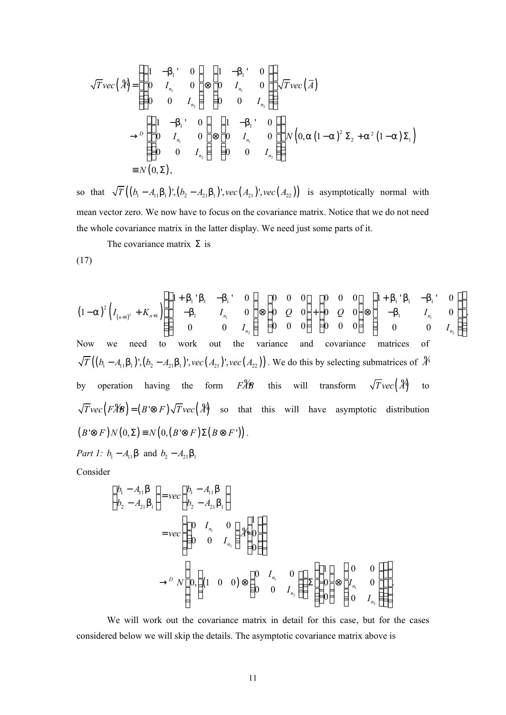$$
\sqrt{T}vec(\hat{A}) = \begin{pmatrix} 1 & -b_1' & 0 \\ 0 & I_{n_1} & 0 \\ 0 & 0 & I_{n_2} \end{pmatrix} \otimes \begin{pmatrix} 1 & -b_1' & 0 \\ 0 & I_{n_1} & 0 \\ 0 & 0 & I_{n_2} \end{pmatrix} \sqrt{T}vec(\bar{A})
$$
  
\n
$$
\rightarrow^D \begin{pmatrix} 1 & -b_1' & 0 \\ 0 & I_{n_1} & 0 \\ 0 & 0 & I_{n_1} \end{pmatrix} \otimes \begin{pmatrix} 1 & -b_1' & 0 \\ 0 & I_{n_1} & 0 \\ 0 & 0 & I_{n_2} \end{pmatrix} N(0, a(1-a)^2 \Sigma_2 + a^2 (1-a) \Sigma_1)
$$
  
\n
$$
\equiv N(0, \Sigma),
$$

so that  $\sqrt{T} ((b_1 - A_{11}b_1)$ ',  $(b_2 - A_{21}b_1)$ ', *vec*  $(A_{21})$ ', *vec*  $(A_{22})$ ) is asymptotically normal with mean vector zero. We now have to focus on the covariance matrix. Notice that we do not need the whole covariance matrix in the latter display. We need just some parts of it.

The covariance matrix  $\Sigma$  is

$$
(17)
$$

$$
(1-a)^{2} \left(I_{(n+1)^{2}} + K_{n+1}\right) \left( \begin{pmatrix} 1+b_{1} & b_{1} & -b_{1} & 0 \\ -b_{1} & I_{n_{1}} & 0 \\ 0 & 0 & I_{n_{2}} \end{pmatrix} \otimes \begin{pmatrix} 0 & 0 & 0 \\ 0 & Q & 0 \\ 0 & 0 & 0 \end{pmatrix} + \begin{pmatrix} 0 & 0 & 0 \\ 0 & Q & 0 \\ 0 & 0 & 0 \end{pmatrix} \otimes \begin{pmatrix} 1+b_{1} & b_{1} & -b_{1} & 0 \\ 0 & Q & 0 & -b_{1} & I_{n_{1}} \\ 0 & 0 & 0 & I_{n_{2}} \end{pmatrix} \right)
$$
  
\nNow we need to work out the variance and covariance matrices of  
\n $\sqrt{T}((b_{1}-A_{11}b_{1})^{T}, (b_{2}-A_{21}b_{1})^{T}, vec(A_{21})^{T}, vec(A_{22}))$ . We do this by selecting submatrices of  $\mathcal{X}$   
\nby operation having the form  $F\mathcal{X}B$  this will transform  $\sqrt{T}vec(\mathcal{X})$  to  
\n $\sqrt{T}vec(F\mathcal{X}B) = (B \otimes F)\sqrt{T}vec(\mathcal{X})$  so that this will have asymptotic distribution  
\n $(B' \otimes F)N(0,\Sigma) \equiv N(0,(B' \otimes F)\Sigma(B \otimes F'))$ .  
\nPart 1:  $b_{1} - A_{11}b$  and  $b_{2} - A_{21}b_{1}$ 

Consider

$$
\begin{pmatrix}\nb_1 - A_{11}b \\
b_2 - A_{21}b_1\n\end{pmatrix} = vec\begin{pmatrix}\nb_1 - A_{11}b \\
b_2 - A_{21}b_1\n\end{pmatrix}
$$
\n
$$
= vec\begin{pmatrix}\n0 & I_{n_1} & 0 \\
0 & 0 & I_{n_2}\n\end{pmatrix} \begin{pmatrix}\n1 \\
0 \\
0\n\end{pmatrix}
$$
\n
$$
\rightarrow^D N \begin{pmatrix}\n0, \begin{pmatrix}\n(1 & 0 & 0\n\end{pmatrix}) \otimes \begin{pmatrix}\n0 & I_{n_1} & 0 \\
0 & 0 & I_{n_2}\n\end{pmatrix}\n\end{pmatrix} \sum \begin{pmatrix}\n1 \\
0 \\
0\n\end{pmatrix} \otimes \begin{pmatrix}\n0 & 0 \\
I_{n_1} & 0 \\
0 & I_{n_2}\n\end{pmatrix}
$$

We will work out the covariance matrix in detail for this case, but for the cases considered below we will skip the details. The asymptotic covariance matrix above is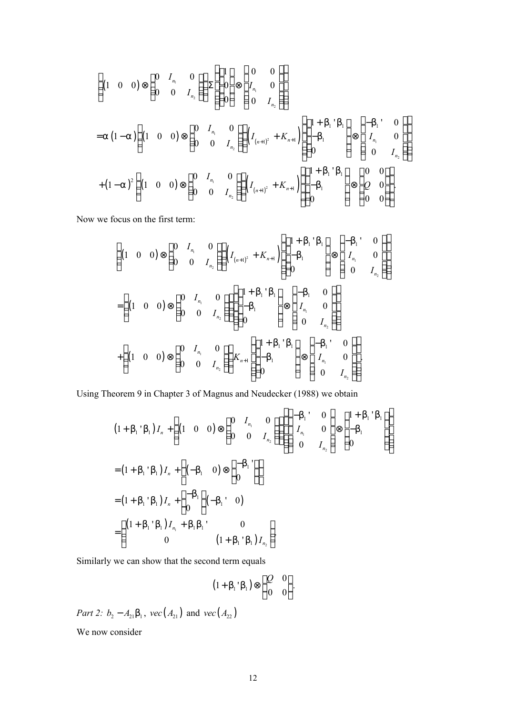$$
\begin{aligned}\n&\left( (1 \quad 0 \quad 0) \otimes \begin{pmatrix} 0 & I_{n_1} & 0 \\ 0 & 0 & I_{n_2} \end{pmatrix} \right) \sum \begin{pmatrix} 1 \\ 0 \\ 0 \end{pmatrix} \otimes \begin{pmatrix} 0 & 0 \\ I_{n_1} & 0 \\ 0 & I_{n_2} \end{pmatrix} \\
&= a (1-a) \left( (1 \quad 0 \quad 0) \otimes \begin{pmatrix} 0 & I_{n_1} & 0 \\ 0 & 0 & I_{n_2} \end{pmatrix} \right) \left( I_{(n+1)^2} + K_{n+1} \right) \left( \begin{pmatrix} 1+b_1'b_1 \\ -b_1 \\ 0 \end{pmatrix} \otimes \begin{pmatrix} -b_1' & 0 \\ I_{n_1} & 0 \\ 0 & I_{n_2} \end{pmatrix} \right) \\
&+ (1-a)^2 \left( (1 \quad 0 \quad 0) \otimes \begin{pmatrix} 0 & I_{n_1} & 0 \\ 0 & 0 & I_{n_2} \end{pmatrix} \right) \left( I_{(n+1)^2} + K_{n+1} \right) \left( \begin{pmatrix} 1+b_1'b_1 \\ -b_1 \\ 0 \end{pmatrix} \otimes \begin{pmatrix} 0 & 0 \\ Q & 0 \\ 0 & 0 \end{pmatrix} \right).\n\end{aligned}
$$

Now we focus on the first term:

$$
\begin{pmatrix}\n(1 & 0 & 0) \otimes \begin{pmatrix}\n0 & I_{n_1} & 0 \\
0 & 0 & I_{n_2}\n\end{pmatrix}\n\end{pmatrix}\n\begin{pmatrix}\nI_{(n+1)^2} + K_{n+1} \\
-b_1\n\end{pmatrix}\n\begin{pmatrix}\n1+b_1'b_1 \\
-b_1\n\end{pmatrix}\n\otimes\n\begin{pmatrix}\n-b_1' & 0 \\
I_{n_1} & 0 \\
0 & I_{n_2}\n\end{pmatrix}\n\end{pmatrix}
$$
\n
$$
= \n\begin{pmatrix}\n(1 & 0 & 0) \otimes \begin{pmatrix}\n0 & I_{n_1} & 0 \\
0 & 0 & I_{n_2}\n\end{pmatrix}\n\begin{pmatrix}\n1+b_1'b_1 \\
-b_1 \\
0\n\end{pmatrix}\n\otimes\n\begin{pmatrix}\n-b_1 & 0 \\
I_{n_1} & 0 \\
0 & I_{n_2}\n\end{pmatrix}\n\end{pmatrix}
$$
\n
$$
+ \n\begin{pmatrix}\n(1 & 0 & 0\n\end{pmatrix}\n\otimes\n\begin{pmatrix}\n0 & I_{n_1} & 0 \\
0 & 0 & I_{n_2}\n\end{pmatrix}\n\begin{pmatrix}\nK_{n+1} \\
-b_1 \\
0\n\end{pmatrix}\nK_{n+1}\n\begin{pmatrix}\n(1+b_1'b_1 \\
-b_1 \\
0\n\end{pmatrix}\n\otimes\n\begin{pmatrix}\n-b_1' & 0 \\
I_{n_1} & 0 \\
0 & I_{n_2}\n\end{pmatrix}\n\begin{pmatrix}\n0 & I_{n_2} \\
0 & I_{n_3}\n\end{pmatrix}
$$

Using Theorem 9 in Chapter 3 of Magnus and Neudecker (1988) we obtain

$$
(1 + b_{1} b_{1}) I_{n} + \left( (1 \ 0 \ 0) \otimes \begin{pmatrix} 0 & I_{n_{1}} & 0 \\ 0 & 0 & I_{n_{2}} \end{pmatrix} \right) \left( \begin{pmatrix} -b_{1} & 0 \\ I_{n_{1}} & 0 \\ 0 & I_{n_{2}} \end{pmatrix} \otimes \begin{pmatrix} 1 + b_{1} b_{1} \\ -b_{1} \\ 0 \end{pmatrix} \right)
$$
  
=  $(1 + b_{1} b_{1}) I_{n} + \left( (-b_{1} \ 0) \otimes \begin{pmatrix} -b_{1} \\ 0 \end{pmatrix} \right)$   
=  $(1 + b_{1} b_{1}) I_{n} + \begin{pmatrix} -b_{1} \\ 0 \end{pmatrix} \cdot (-b_{1} b_{1})$   
=  $\left( (1 + b_{1} b_{1}) I_{n_{1}} + b_{1} b_{1} \right) \cdot \left( 1 + b_{1} b_{1} \right) I_{n_{2}} \cdot \left( 1 + b_{1} b_{1} \right) I_{n_{2}} \cdot \left( 1 + b_{1} b_{1} \right) I_{n_{2}} \cdot \left( 1 + b_{1} b_{1} \right) I_{n_{2}} \cdot \left( 1 + b_{1} b_{1} \right) I_{n_{2}} \cdot \left( 1 + b_{1} b_{1} \right) I_{n_{2}} \cdot \left( 1 + b_{1} b_{1} \right) I_{n_{2}} \cdot \left( 1 + b_{1} b_{1} \right) I_{n_{2}} \cdot \left( 1 + b_{1} b_{1} \right) I_{n_{2}} \cdot \left( 1 + b_{1} b_{1} \right) I_{n_{2}} \cdot \left( 1 + b_{1} b_{1} \right) I_{n_{2}} \cdot \left( 1 + b_{1} b_{1} \right) I_{n_{2}} \cdot \left( 1 + b_{1} b_{1} \right) I_{n_{2}} \cdot \left( 1 + b_{1} b_{1} \right) I_{n_{2}} \cdot \left( 1 + b_{1} b_{1} \right) I_{n_{2}} \cdot \left( 1 + b_{1} b_{1} \right) I_{n_{2}} \cdot \left( 1 + b_{1} b_{1} \right) I_{n_{2}} \cdot \left( 1 + b_{1} b_{1} \right) I_{n_{2}} \cdot \left($ 

Similarly we can show that the second term equals

$$
(1+b_1\dot{b}_1)\otimes \begin{pmatrix} Q & 0 \\ 0 & 0 \end{pmatrix}.
$$

*Part 2:*  $b_2 - A_{21}b_1$ ,  $vec(A_{21})$  and  $vec(A_{22})$ 

We now consider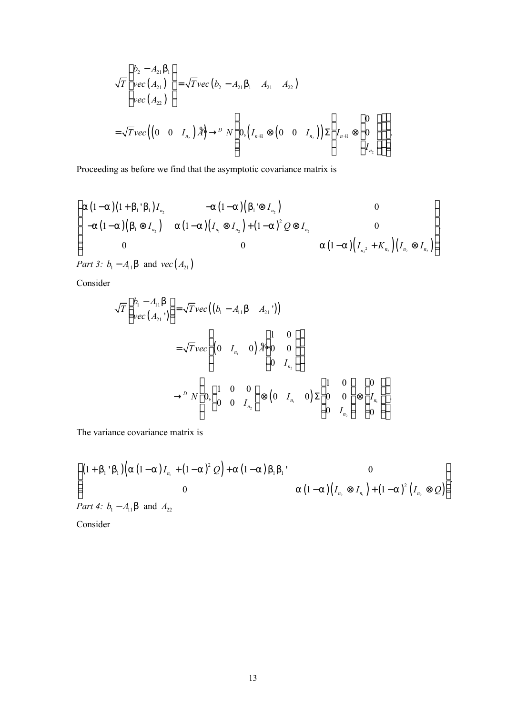$$
\sqrt{T}\begin{pmatrix}b_2 - A_{21}b_1 \\ vec(A_{21}) \\ vec(A_{22})\end{pmatrix} = \sqrt{T}vec(b_2 - A_{21}b_1 \ A_{21} \ A_{22})
$$
  
=  $\sqrt{T}vec((0 \ 0 \ I_{n_2})\mathcal{A}\mathcal{A} \rightarrow \mathcal{D} N\begin{pmatrix}0 \\ 0.((I_{n+1} \otimes (0 \ 0 \ I_{n_2}))\Sigma\begin{pmatrix}I_{n+1} \otimes \begin{pmatrix}0 \\ 0 \\ I_{n_2}\end{pmatrix})\end{pmatrix})$ .

Proceeding as before we find that the asymptotic covariance matrix is

$$
\begin{pmatrix}\na(1-a)(1+b_1'b_1)I_{n_2} & -a(1-a)(b_1' \otimes I_{n_2}) & 0 \\
-a(1-a)(b_1 \otimes I_{n_2}) & a(1-a)(I_{n_1} \otimes I_{n_2}) + (1-a)^2 Q \otimes I_{n_2} & 0 \\
0 & 0 & a(1-a)(I_{n_2} + K_{n_2})(I_{n_2} \otimes I_{n_2})\n\end{pmatrix}
$$

*Part 3:*  $b_1 - A_{11}b$  and  $vec(A_{21})$ 

Consider

$$
\sqrt{T}\begin{pmatrix}b_{1}-A_{11}b\\vec(A_{21}^{\prime})\end{pmatrix} = \sqrt{T}vec((b_{1}-A_{11}b - A_{21}^{\prime}) )
$$
  
=  $\sqrt{T}vec\left((0-I_{n_{1}}^{\prime} - 0)A_{0}^{0} - 0\begin{pmatrix}1 & 0\\0 & I_{n_{2}}\end{pmatrix}\right)$   
 $\rightarrow^{D} N\begin{pmatrix}0,\begin{pmatrix}1 & 0 & 0\\0 & 0 & I_{n_{2}}\end{pmatrix}\end{pmatrix} \otimes (0-I_{n_{1}}^{\prime} - 0)\Sigma\begin{pmatrix}1 & 0\\0 & 0\\0 & I_{n_{2}}\end{pmatrix}\otimes \begin{pmatrix}0\\I_{n_{1}}^{\prime}\\0\end{pmatrix}$ 

The variance covariance matrix is

$$
\begin{pmatrix}\n(1 + b_1' b_1) \left( a (1 - a) I_{n_1} + (1 - a)^2 Q \right) + a (1 - a) b_1 b_1' & 0 \\
0 & a (1 - a) (I_{n_2} \otimes I_{n_1}) + (1 - a)^2 (I_{n_2} \otimes Q)\n\end{pmatrix}
$$
\nPart 4:  $b_1 - A_{11} b$  and  $A_{22}$ 

Consider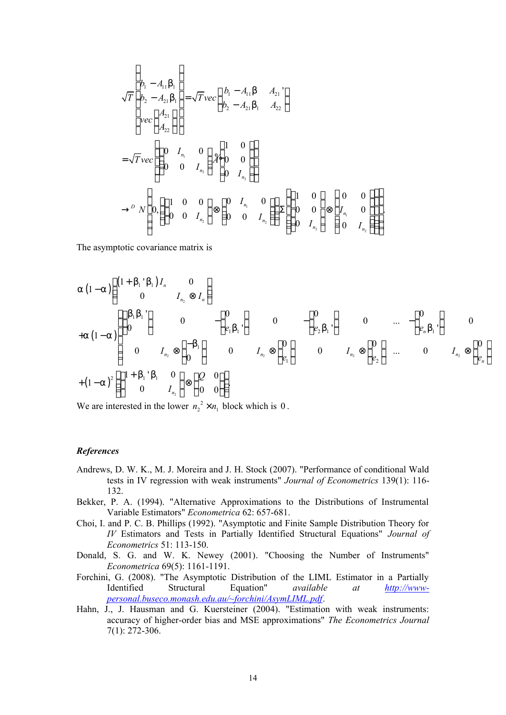$$
\sqrt{T}\begin{bmatrix} b_{1} - A_{11}b_{1} \ b_{2} - A_{21}b_{1} \ b_{2} - A_{21}b_{1} \ b_{2} - A_{21}b_{1} \end{bmatrix} = \sqrt{T}vec\left(\begin{bmatrix} b_{1} - A_{11}b & A_{21} \ b_{2} - A_{21}b_{1} & A_{22} \end{bmatrix}\right)
$$
  
\n
$$
= \sqrt{T}vec\left(\begin{bmatrix} 0 & I_{n_{1}} & 0 \\ 0 & 0 & I_{n_{2}} \end{bmatrix} \right) \begin{bmatrix} 1 & 0 \\ 0 & 0 \\ 0 & I_{n_{2}} \end{bmatrix}
$$
  
\n
$$
\rightarrow^{D} N\left( 0, \left(\begin{bmatrix} 1 & 0 & 0 \\ 0 & 0 & I_{n_{2}} \end{bmatrix} \right) \otimes \begin{bmatrix} 0 & I_{n_{1}} & 0 \\ 0 & 0 & I_{n_{2}} \end{bmatrix} \right) \sum \left( \begin{bmatrix} 1 & 0 \\ 0 & 0 \\ 0 & I_{n_{2}} \end{bmatrix} \otimes \begin{bmatrix} 0 & 0 \\ I_{n_{1}} & 0 \\ 0 & I_{n_{2}} \end{bmatrix} \right) \right)
$$

The asymptotic covariance matrix is

$$
a(1-a)\begin{pmatrix} (1+b_1 \ b_1) I_n & 0 \\ 0 & I_{n_2} \otimes I_n \end{pmatrix}
$$
  
\n
$$
+a(1-a)\begin{pmatrix} (b_1b_1') & 0 & -(0) \\ 0 & I_{n_2} \otimes (-b_1) & 0 & -(\frac{0}{e_1b_1}) \\ 0 & I_{n_2} \otimes \frac{(-b_1}{0}) & 0 & I_{n_2} \otimes \frac{0}{e_1} \end{pmatrix}
$$
  
\n
$$
+(1-a)^2 \begin{pmatrix} (1+b_1 \ b_1 & 0 & 0 \\ 0 & I_{n_2} \end{pmatrix} \otimes \begin{pmatrix} 0 & 0 \\ 0 & 0 \end{pmatrix}
$$

We are interested in the lower  $n_2^2 \times n_1$  block which is 0.

#### *References*

- Andrews, D. W. K., M. J. Moreira and J. H. Stock (2007). "Performance of conditional Wald tests in IV regression with weak instruments" *Journal of Econometrics* 139(1): 116- 132.
- Bekker, P. A. (1994). "Alternative Approximations to the Distributions of Instrumental Variable Estimators" *Econometrica* 62: 657-681.
- Choi, I. and P. C. B. Phillips (1992). "Asymptotic and Finite Sample Distribution Theory for *IV* Estimators and Tests in Partially Identified Structural Equations" *Journal of Econometrics* 51: 113-150.
- Donald, S. G. and W. K. Newey (2001). "Choosing the Number of Instruments" *Econometrica* 69(5): 1161-1191.
- Forchini, G. (2008). "The Asymptotic Distribution of the LIML Estimator in a Partially Identified Structural Equation" *available at http://wwwpersonal.buseco.monash.edu.au/~forchini/AsymLIML.pdf*.
- Hahn, J., J. Hausman and G. Kuersteiner (2004). "Estimation with weak instruments: accuracy of higher-order bias and MSE approximations" *The Econometrics Journal* 7(1): 272-306.